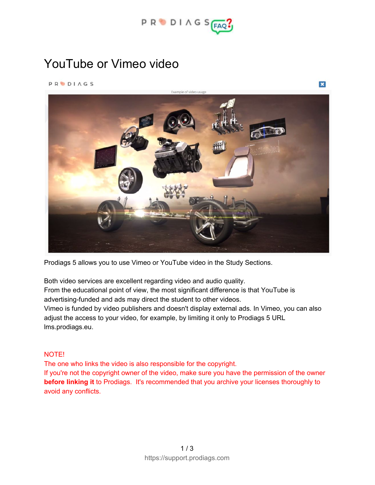

 $\mathbf{x}$ 

## YouTube or Vimeo video

**PRODIAGS** 



Prodiags 5 allows you to use Vimeo or YouTube video in the Study Sections.

Both video services are excellent regarding video and audio quality. From the educational point of view, the most significant difference is that YouTube is advertising-funded and ads may direct the student to other videos. Vimeo is funded by video publishers and doesn't display external ads. In Vimeo, you can also adjust the access to your video, for example, by limiting it only to Prodiags 5 URL lms.prodiags.eu.

## NOTE!

The one who links the video is also responsible for the copyright. If you're not the copyright owner of the video, make sure you have the permission of the owner **before linking it** to Prodiags. It's recommended that you archive your licenses thoroughly to avoid any conflicts.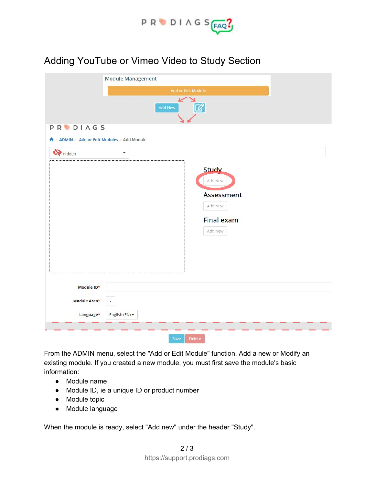

## Adding YouTube or Vimeo Video to Study Section

|                                                               | <b>Module Management</b>                                                         |
|---------------------------------------------------------------|----------------------------------------------------------------------------------|
|                                                               | Add or Edit Module                                                               |
|                                                               | سدا<br>N<br>☑<br>Add New                                                         |
| <b>PRODIAGS</b><br>↑ ADMIN > Add or Edit Modules > Add Module |                                                                                  |
| $\bigotimes$ Hidden                                           | ٠                                                                                |
|                                                               | <b>Study</b><br>Add New<br>Assessment<br>Add New<br><b>Final exam</b><br>Add New |
| Module ID*<br>Module Area*                                    | ٠                                                                                |
| Language*                                                     | English (EN) -                                                                   |
|                                                               | Save<br><b>Delete</b>                                                            |

From the ADMIN menu, select the "Add or Edit Module" function. Add a new or Modify an existing module. If you created a new module, you must first save the module's basic information:

- Module name
- Module ID, ie a unique ID or product number
- Module topic
- Module language

When the module is ready, select "Add new" under the header "Study".